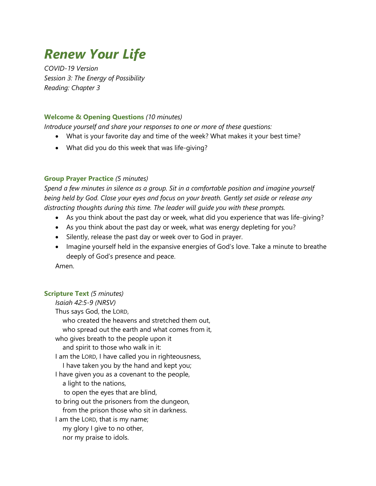# *Renew Your Life*

*COVID-19 Version Session 3: The Energy of Possibility Reading: Chapter 3*

# **Welcome & Opening Questions** *(10 minutes)*

*Introduce yourself and share your responses to one or more of these questions:*

- What is your favorite day and time of the week? What makes it your best time?
- What did you do this week that was life-giving?

# **Group Prayer Practice** *(5 minutes)*

*Spend a few minutes in silence as a group. Sit in a comfortable position and imagine yourself being held by God. Close your eyes and focus on your breath. Gently set aside or release any distracting thoughts during this time. The leader will guide you with these prompts.*

- As you think about the past day or week, what did you experience that was life-giving?
- As you think about the past day or week, what was energy depleting for you?
- Silently, release the past day or week over to God in prayer.
- Imagine yourself held in the expansive energies of God's love. Take a minute to breathe deeply of God's presence and peace.

Amen.

# **Scripture Text** *(5 minutes)*

*Isaiah 42:5-9 (NRSV)* Thus says God, the LORD, who created the heavens and stretched them out, who spread out the earth and what comes from it, who gives breath to the people upon it and spirit to those who walk in it: I am the LORD, I have called you in righteousness, I have taken you by the hand and kept you; I have given you as a covenant to the people, a light to the nations, to open the eyes that are blind, to bring out the prisoners from the dungeon, from the prison those who sit in darkness. I am the LORD, that is my name; my glory I give to no other, nor my praise to idols.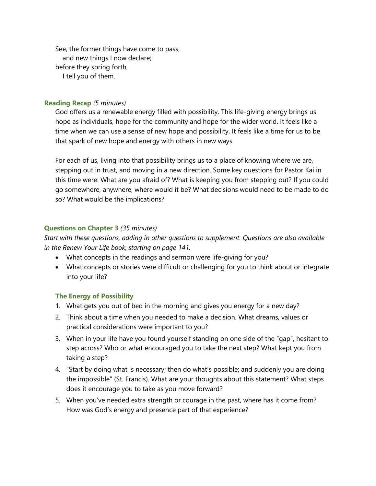See, the former things have come to pass, and new things I now declare; before they spring forth, I tell you of them.

#### **Reading Recap** *(5 minutes)*

God offers us a renewable energy filled with possibility. This life-giving energy brings us hope as individuals, hope for the community and hope for the wider world. It feels like a time when we can use a sense of new hope and possibility. It feels like a time for us to be that spark of new hope and energy with others in new ways.

For each of us, living into that possibility brings us to a place of knowing where we are, stepping out in trust, and moving in a new direction. Some key questions for Pastor Kai in this time were: What are you afraid of? What is keeping you from stepping out? If you could go somewhere, anywhere, where would it be? What decisions would need to be made to do so? What would be the implications?

### **Questions on Chapter 3** *(35 minutes)*

*Start with these questions, adding in other questions to supplement. Questions are also available in the Renew Your Life book, starting on page 141.*

- What concepts in the readings and sermon were life-giving for you?
- What concepts or stories were difficult or challenging for you to think about or integrate into your life?

#### **The Energy of Possibility**

- 1. What gets you out of bed in the morning and gives you energy for a new day?
- 2. Think about a time when you needed to make a decision. What dreams, values or practical considerations were important to you?
- 3. When in your life have you found yourself standing on one side of the "gap", hesitant to step across? Who or what encouraged you to take the next step? What kept you from taking a step?
- 4. "Start by doing what is necessary; then do what's possible; and suddenly you are doing the impossible" (St. Francis). What are your thoughts about this statement? What steps does it encourage you to take as you move forward?
- 5. When you've needed extra strength or courage in the past, where has it come from? How was God's energy and presence part of that experience?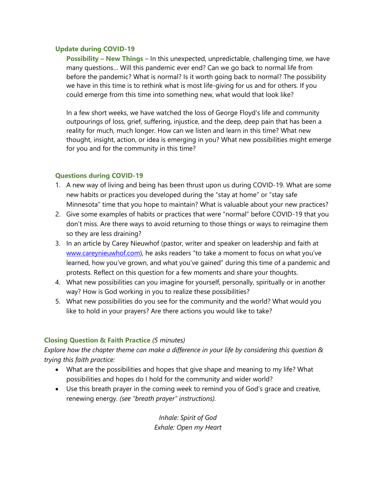## **Update during COVID-19**

**Possibility – New Things** – In this unexpected, unpredictable, challenging time, we have many questions… Will this pandemic ever end? Can we go back to normal life from before the pandemic? What is normal? Is it worth going back to normal? The possibility we have in this time is to rethink what is most life-giving for us and for others. If you could emerge from this time into something new, what would that look like?

In a few short weeks, we have watched the loss of George Floyd's life and community outpourings of loss, grief, suffering, injustice, and the deep, deep pain that has been a reality for much, much longer. How can we listen and learn in this time? What new thought, insight, action, or idea is emerging in you? What new possibilities might emerge for you and for the community in this time?

# **Questions during COVID-19**

- 1. A new way of living and being has been thrust upon us during COVID-19. What are some new habits or practices you developed during the "stay at home" or "stay safe Minnesota" time that you hope to maintain? What is valuable about your new practices?
- 2. Give some examples of habits or practices that were "normal" before COVID-19 that you don't miss. Are there ways to avoid returning to those things or ways to reimagine them so they are less draining?
- 3. In an article by Carey Nieuwhof (pastor, writer and speaker on leadership and faith at [www.careynieuwhof.com\)](http://www.careynieuwhof.com/), he asks readers "to take a moment to focus on what you've learned, how you've grown, and what you've gained" during this time of a pandemic and protests. Reflect on this question for a few moments and share your thoughts.
- 4. What new possibilities can you imagine for yourself, personally, spiritually or in another way? How is God working in you to realize these possibilities?
- 5. What new possibilities do you see for the community and the world? What would you like to hold in your prayers? Are there actions you would like to take?

# **Closing Question & Faith Practice** *(5 minutes)*

*Explore how the chapter theme can make a difference in your life by considering this question & trying this faith practice:*

- What are the possibilities and hopes that give shape and meaning to my life? What possibilities and hopes do I hold for the community and wider world?
- Use this breath prayer in the coming week to remind you of God's grace and creative, renewing energy. *(see "breath prayer" instructions).*

*Inhale: Spirit of God Exhale: Open my Heart*